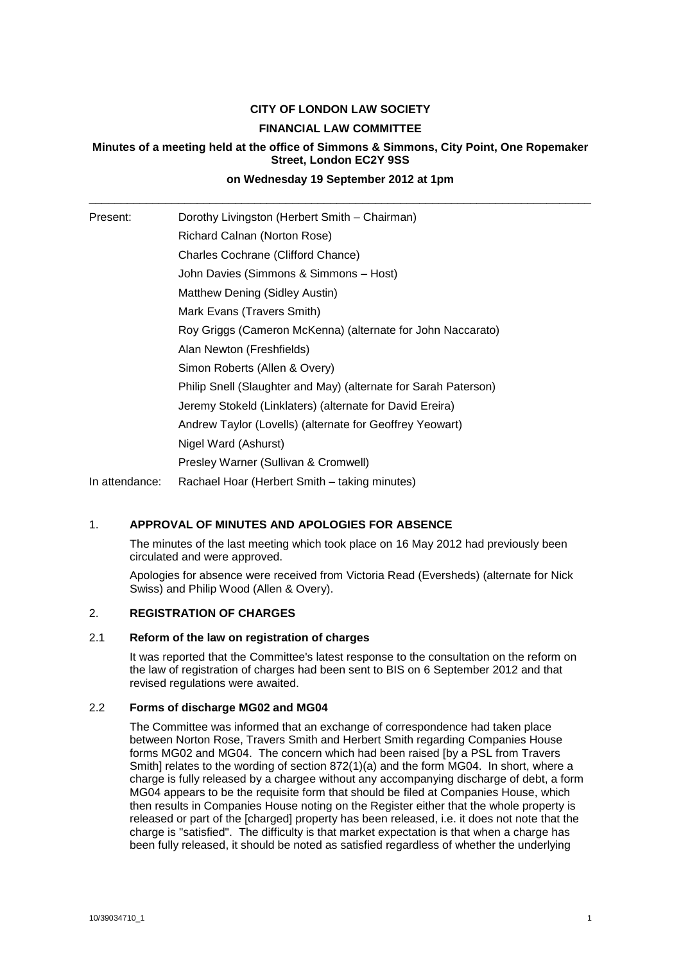# **CITY OF LONDON LAW SOCIETY FINANCIAL LAW COMMITTEE**

# **Minutes of a meeting held at the office of Simmons & Simmons, City Point, One Ropemaker Street, London EC2Y 9SS**

# **on Wednesday 19 September 2012 at 1pm** \_\_\_\_\_\_\_\_\_\_\_\_\_\_\_\_\_\_\_\_\_\_\_\_\_\_\_\_\_\_\_\_\_\_\_\_\_\_\_\_\_\_\_\_\_\_\_\_\_\_\_\_\_\_\_\_\_\_\_\_\_\_\_\_\_\_\_\_\_\_\_\_\_\_\_\_\_\_\_

| Present:       | Dorothy Livingston (Herbert Smith - Chairman)                   |
|----------------|-----------------------------------------------------------------|
|                | Richard Calnan (Norton Rose)                                    |
|                | Charles Cochrane (Clifford Chance)                              |
|                | John Davies (Simmons & Simmons - Host)                          |
|                | Matthew Dening (Sidley Austin)                                  |
|                | Mark Evans (Travers Smith)                                      |
|                | Roy Griggs (Cameron McKenna) (alternate for John Naccarato)     |
|                | Alan Newton (Freshfields)                                       |
|                | Simon Roberts (Allen & Overy)                                   |
|                | Philip Snell (Slaughter and May) (alternate for Sarah Paterson) |
|                | Jeremy Stokeld (Linklaters) (alternate for David Ereira)        |
|                | Andrew Taylor (Lovells) (alternate for Geoffrey Yeowart)        |
|                | Nigel Ward (Ashurst)                                            |
|                | Presley Warner (Sullivan & Cromwell)                            |
| In attendance: | Rachael Hoar (Herbert Smith – taking minutes)                   |

# 1. **APPROVAL OF MINUTES AND APOLOGIES FOR ABSENCE**

The minutes of the last meeting which took place on 16 May 2012 had previously been circulated and were approved.

Apologies for absence were received from Victoria Read (Eversheds) (alternate for Nick Swiss) and Philip Wood (Allen & Overy).

# 2. **REGISTRATION OF CHARGES**

#### 2.1 **Reform of the law on registration of charges**

It was reported that the Committee's latest response to the consultation on the reform on the law of registration of charges had been sent to BIS on 6 September 2012 and that revised regulations were awaited.

# 2.2 **Forms of discharge MG02 and MG04**

The Committee was informed that an exchange of correspondence had taken place between Norton Rose, Travers Smith and Herbert Smith regarding Companies House forms MG02 and MG04. The concern which had been raised [by a PSL from Travers Smith] relates to the wording of section 872(1)(a) and the form MG04. In short, where a charge is fully released by a chargee without any accompanying discharge of debt, a form MG04 appears to be the requisite form that should be filed at Companies House, which then results in Companies House noting on the Register either that the whole property is released or part of the [charged] property has been released, i.e. it does not note that the charge is "satisfied". The difficulty is that market expectation is that when a charge has been fully released, it should be noted as satisfied regardless of whether the underlying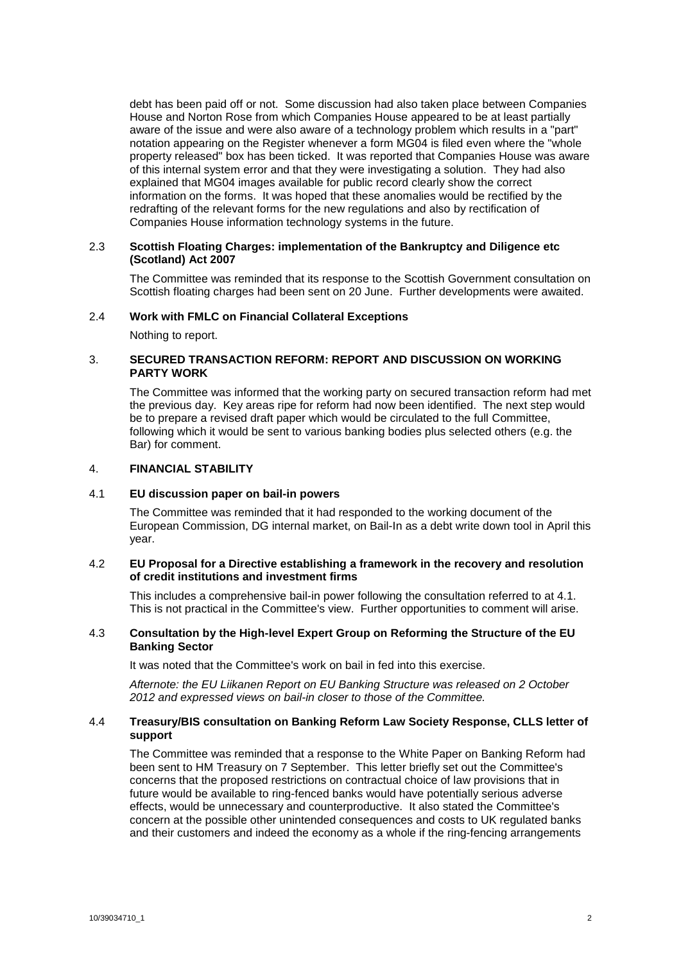debt has been paid off or not. Some discussion had also taken place between Companies House and Norton Rose from which Companies House appeared to be at least partially aware of the issue and were also aware of a technology problem which results in a "part" notation appearing on the Register whenever a form MG04 is filed even where the "whole property released" box has been ticked. It was reported that Companies House was aware of this internal system error and that they were investigating a solution. They had also explained that MG04 images available for public record clearly show the correct information on the forms. It was hoped that these anomalies would be rectified by the redrafting of the relevant forms for the new regulations and also by rectification of Companies House information technology systems in the future.

# 2.3 **Scottish Floating Charges: implementation of the Bankruptcy and Diligence etc (Scotland) Act 2007**

The Committee was reminded that its response to the Scottish Government consultation on Scottish floating charges had been sent on 20 June. Further developments were awaited.

#### 2.4 **Work with FMLC on Financial Collateral Exceptions**

Nothing to report.

# 3. **SECURED TRANSACTION REFORM: REPORT AND DISCUSSION ON WORKING PARTY WORK**

The Committee was informed that the working party on secured transaction reform had met the previous day. Key areas ripe for reform had now been identified. The next step would be to prepare a revised draft paper which would be circulated to the full Committee, following which it would be sent to various banking bodies plus selected others (e.g. the Bar) for comment.

# 4. **FINANCIAL STABILITY**

#### 4.1 **EU discussion paper on bail-in powers**

The Committee was reminded that it had responded to the working document of the European Commission, DG internal market, on Bail-In as a debt write down tool in April this year.

#### 4.2 **EU Proposal for a Directive establishing a framework in the recovery and resolution of credit institutions and investment firms**

This includes a comprehensive bail-in power following the consultation referred to at 4.1. This is not practical in the Committee's view. Further opportunities to comment will arise.

### 4.3 **Consultation by the High-level Expert Group on Reforming the Structure of the EU Banking Sector**

It was noted that the Committee's work on bail in fed into this exercise.

*Afternote: the EU Liikanen Report on EU Banking Structure was released on 2 October 2012 and expressed views on bail-in closer to those of the Committee.*

# 4.4 **Treasury/BIS consultation on Banking Reform Law Society Response, CLLS letter of support**

The Committee was reminded that a response to the White Paper on Banking Reform had been sent to HM Treasury on 7 September. This letter briefly set out the Committee's concerns that the proposed restrictions on contractual choice of law provisions that in future would be available to ring-fenced banks would have potentially serious adverse effects, would be unnecessary and counterproductive. It also stated the Committee's concern at the possible other unintended consequences and costs to UK regulated banks and their customers and indeed the economy as a whole if the ring-fencing arrangements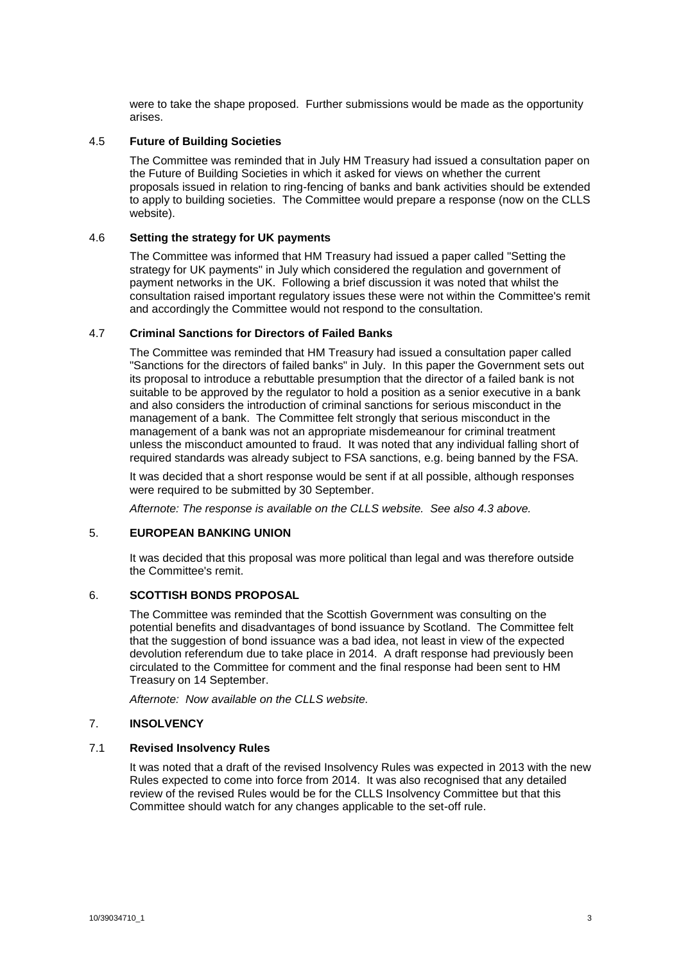were to take the shape proposed. Further submissions would be made as the opportunity arises.

### 4.5 **Future of Building Societies**

The Committee was reminded that in July HM Treasury had issued a consultation paper on the Future of Building Societies in which it asked for views on whether the current proposals issued in relation to ring-fencing of banks and bank activities should be extended to apply to building societies. The Committee would prepare a response (now on the CLLS website).

# 4.6 **Setting the strategy for UK payments**

The Committee was informed that HM Treasury had issued a paper called "Setting the strategy for UK payments" in July which considered the regulation and government of payment networks in the UK. Following a brief discussion it was noted that whilst the consultation raised important regulatory issues these were not within the Committee's remit and accordingly the Committee would not respond to the consultation.

# 4.7 **Criminal Sanctions for Directors of Failed Banks**

The Committee was reminded that HM Treasury had issued a consultation paper called "Sanctions for the directors of failed banks" in July. In this paper the Government sets out its proposal to introduce a rebuttable presumption that the director of a failed bank is not suitable to be approved by the regulator to hold a position as a senior executive in a bank and also considers the introduction of criminal sanctions for serious misconduct in the management of a bank. The Committee felt strongly that serious misconduct in the management of a bank was not an appropriate misdemeanour for criminal treatment unless the misconduct amounted to fraud. It was noted that any individual falling short of required standards was already subject to FSA sanctions, e.g. being banned by the FSA.

It was decided that a short response would be sent if at all possible, although responses were required to be submitted by 30 September.

*Afternote: The response is available on the CLLS website. See also 4.3 above.*

#### 5. **EUROPEAN BANKING UNION**

It was decided that this proposal was more political than legal and was therefore outside the Committee's remit.

# 6. **SCOTTISH BONDS PROPOSAL**

The Committee was reminded that the Scottish Government was consulting on the potential benefits and disadvantages of bond issuance by Scotland. The Committee felt that the suggestion of bond issuance was a bad idea, not least in view of the expected devolution referendum due to take place in 2014. A draft response had previously been circulated to the Committee for comment and the final response had been sent to HM Treasury on 14 September.

*Afternote: Now available on the CLLS website.*

# 7. **INSOLVENCY**

### 7.1 **Revised Insolvency Rules**

It was noted that a draft of the revised Insolvency Rules was expected in 2013 with the new Rules expected to come into force from 2014. It was also recognised that any detailed review of the revised Rules would be for the CLLS Insolvency Committee but that this Committee should watch for any changes applicable to the set-off rule.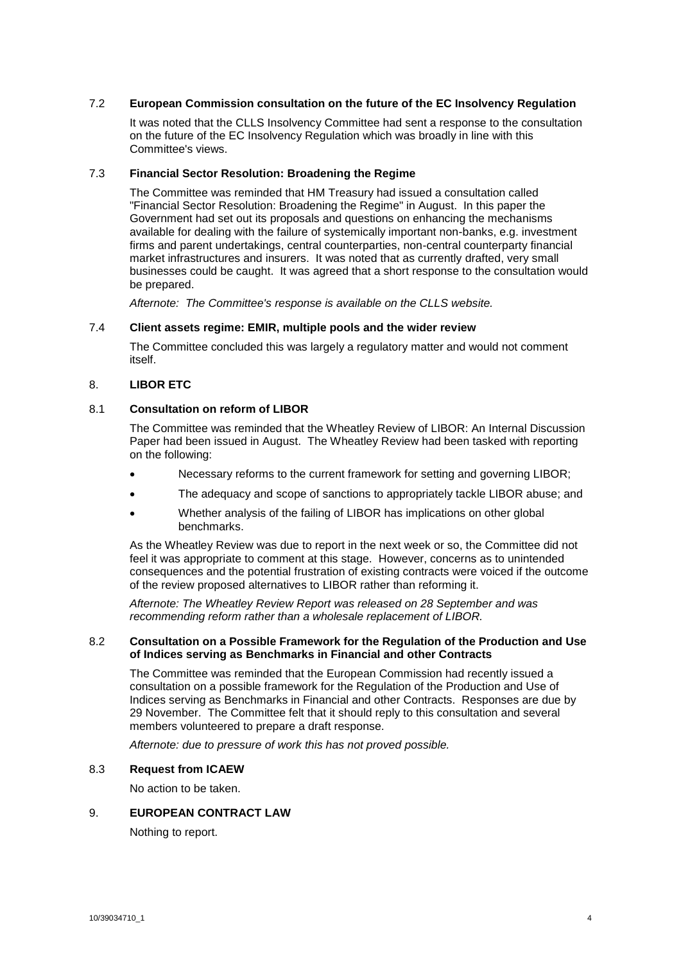# 7.2 **European Commission consultation on the future of the EC Insolvency Regulation**

It was noted that the CLLS Insolvency Committee had sent a response to the consultation on the future of the EC Insolvency Regulation which was broadly in line with this Committee's views.

#### 7.3 **Financial Sector Resolution: Broadening the Regime**

The Committee was reminded that HM Treasury had issued a consultation called "Financial Sector Resolution: Broadening the Regime" in August. In this paper the Government had set out its proposals and questions on enhancing the mechanisms available for dealing with the failure of systemically important non-banks, e.g. investment firms and parent undertakings, central counterparties, non-central counterparty financial market infrastructures and insurers. It was noted that as currently drafted, very small businesses could be caught. It was agreed that a short response to the consultation would be prepared.

*Afternote: The Committee's response is available on the CLLS website.*

#### 7.4 **Client assets regime: EMIR, multiple pools and the wider review**

The Committee concluded this was largely a regulatory matter and would not comment itself.

# 8. **LIBOR ETC**

# 8.1 **Consultation on reform of LIBOR**

The Committee was reminded that the Wheatley Review of LIBOR: An Internal Discussion Paper had been issued in August. The Wheatley Review had been tasked with reporting on the following:

- Necessary reforms to the current framework for setting and governing LIBOR;
- The adequacy and scope of sanctions to appropriately tackle LIBOR abuse; and
- Whether analysis of the failing of LIBOR has implications on other global benchmarks.

As the Wheatley Review was due to report in the next week or so, the Committee did not feel it was appropriate to comment at this stage. However, concerns as to unintended consequences and the potential frustration of existing contracts were voiced if the outcome of the review proposed alternatives to LIBOR rather than reforming it.

*Afternote: The Wheatley Review Report was released on 28 September and was recommending reform rather than a wholesale replacement of LIBOR.*

#### 8.2 **Consultation on a Possible Framework for the Regulation of the Production and Use of Indices serving as Benchmarks in Financial and other Contracts**

The Committee was reminded that the European Commission had recently issued a consultation on a possible framework for the Regulation of the Production and Use of Indices serving as Benchmarks in Financial and other Contracts. Responses are due by 29 November. The Committee felt that it should reply to this consultation and several members volunteered to prepare a draft response.

*Afternote: due to pressure of work this has not proved possible.*

# 8.3 **Request from ICAEW**

No action to be taken.

# 9. **EUROPEAN CONTRACT LAW**

Nothing to report.